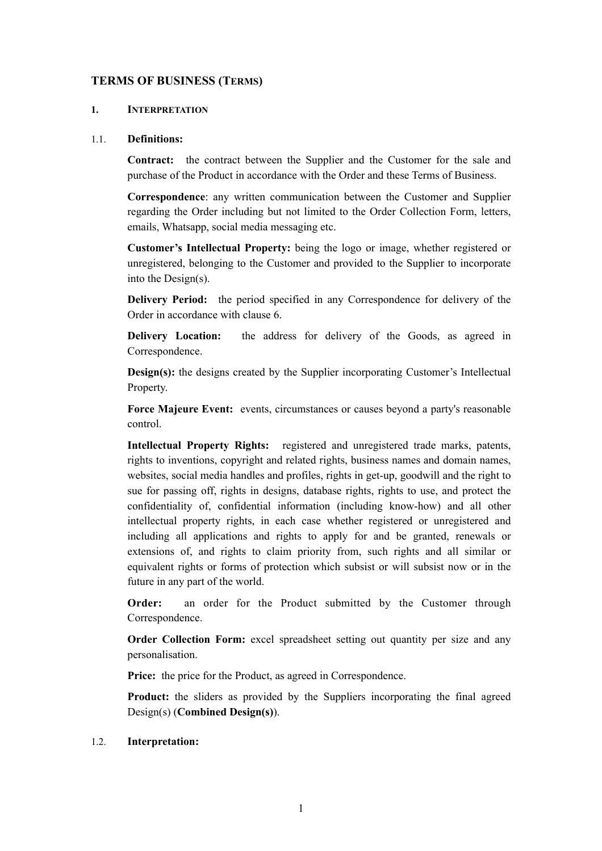## **TERMS OF BUSINESS (TERMS)**

#### **1. INTERPRETATION**

#### 1.1. **Definitions:**

**Contract:** the contract between the Supplier and the Customer for the sale and purchase of the Product in accordance with the Order and these Terms of Business.

**Correspondence**: any written communication between the Customer and Supplier regarding the Order including but not limited to the Order Collection Form, letters, emails, Whatsapp, social media messaging etc.

**Customer's Intellectual Property:** being the logo or image, whether registered or unregistered, belonging to the Customer and provided to the Supplier to incorporate into the Design(s).

**Delivery Period:** the period specified in any Correspondence for delivery of the Order in accordance with clause 6.

**Delivery Location:** the address for delivery of the Goods, as agreed in Correspondence.

**Design(s):** the designs created by the Supplier incorporating Customer's Intellectual Property.

**Force Majeure Event:** events, circumstances or causes beyond a party's reasonable control.

**Intellectual Property Rights:** registered and unregistered trade marks, patents, rights to inventions, copyright and related rights, business names and domain names, websites, social media handles and profiles, rights in get-up, goodwill and the right to sue for passing off, rights in designs, database rights, rights to use, and protect the confidentiality of, confidential information (including know-how) and all other intellectual property rights, in each case whether registered or unregistered and including all applications and rights to apply for and be granted, renewals or extensions of, and rights to claim priority from, such rights and all similar or equivalent rights or forms of protection which subsist or will subsist now or in the future in any part of the world.

**Order:** an order for the Product submitted by the Customer through Correspondence.

**Order Collection Form:** excel spreadsheet setting out quantity per size and any personalisation.

**Price:** the price for the Product, as agreed in Correspondence.

**Product:** the sliders as provided by the Suppliers incorporating the final agreed Design(s) (**Combined Design(s)**).

#### 1.2. **Interpretation:**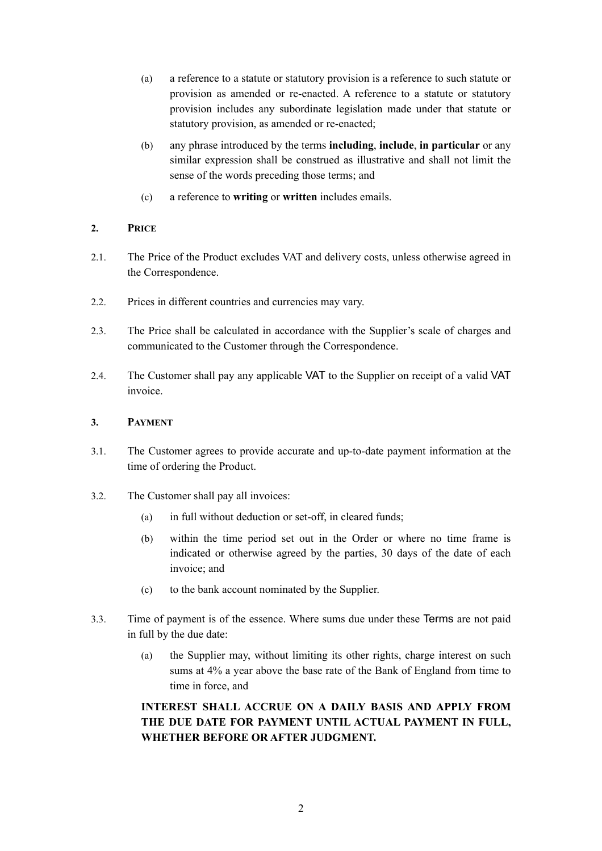- (a) a reference to a statute or statutory provision is a reference to such statute or provision as amended or re-enacted. A reference to a statute or statutory provision includes any subordinate legislation made under that statute or statutory provision, as amended or re-enacted;
- (b) any phrase introduced by the terms **including**, **include**, **in particular** or any similar expression shall be construed as illustrative and shall not limit the sense of the words preceding those terms; and
- (c) a reference to **writing** or **written** includes emails.

## **2. PRICE**

- 2.1. The Price of the Product excludes VAT and delivery costs, unless otherwise agreed in the Correspondence.
- 2.2. Prices in different countries and currencies may vary.
- 2.3. The Price shall be calculated in accordance with the Supplier's scale of charges and communicated to the Customer through the Correspondence.
- 2.4. The Customer shall pay any applicable VAT to the Supplier on receipt of a valid VAT invoice.

## **3. PAYMENT**

- 3.1. The Customer agrees to provide accurate and up-to-date payment information at the time of ordering the Product.
- 3.2. The Customer shall pay all invoices:
	- (a) in full without deduction or set-off, in cleared funds;
	- (b) within the time period set out in the Order or where no time frame is indicated or otherwise agreed by the parties, 30 days of the date of each invoice; and
	- (c) to the bank account nominated by the Supplier.
- 3.3. Time of payment is of the essence. Where sums due under these Terms are not paid in full by the due date:
	- (a) the Supplier may, without limiting its other rights, charge interest on such sums at 4% a year above the base rate of the Bank of England from time to time in force, and

## **INTEREST SHALL ACCRUE ON A DAILY BASIS AND APPLY FROM THE DUE DATE FOR PAYMENT UNTIL ACTUAL PAYMENT IN FULL, WHETHER BEFORE OR AFTER JUDGMENT.**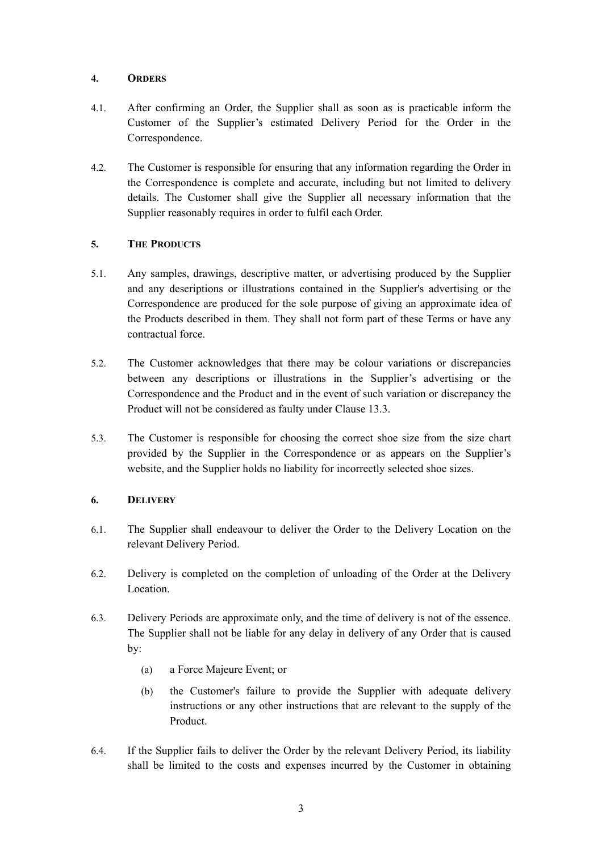## **4. ORDERS**

- 4.1. After confirming an Order, the Supplier shall as soon as is practicable inform the Customer of the Supplier's estimated Delivery Period for the Order in the Correspondence.
- 4.2. The Customer is responsible for ensuring that any information regarding the Order in the Correspondence is complete and accurate, including but not limited to delivery details. The Customer shall give the Supplier all necessary information that the Supplier reasonably requires in order to fulfil each Order.

## **5. THE PRODUCTS**

- 5.1. Any samples, drawings, descriptive matter, or advertising produced by the Supplier and any descriptions or illustrations contained in the Supplier's advertising or the Correspondence are produced for the sole purpose of giving an approximate idea of the Products described in them. They shall not form part of these Terms or have any contractual force.
- 5.2. The Customer acknowledges that there may be colour variations or discrepancies between any descriptions or illustrations in the Supplier's advertising or the Correspondence and the Product and in the event of such variation or discrepancy the Product will not be considered as faulty under Clause 13.3.
- 5.3. The Customer is responsible for choosing the correct shoe size from the size chart provided by the Supplier in the Correspondence or as appears on the Supplier's website, and the Supplier holds no liability for incorrectly selected shoe sizes.

## **6. DELIVERY**

- 6.1. The Supplier shall endeavour to deliver the Order to the Delivery Location on the relevant Delivery Period.
- 6.2. Delivery is completed on the completion of unloading of the Order at the Delivery Location.
- 6.3. Delivery Periods are approximate only, and the time of delivery is not of the essence. The Supplier shall not be liable for any delay in delivery of any Order that is caused by:
	- (a) a Force Majeure Event; or
	- (b) the Customer's failure to provide the Supplier with adequate delivery instructions or any other instructions that are relevant to the supply of the Product.
- 6.4. If the Supplier fails to deliver the Order by the relevant Delivery Period, its liability shall be limited to the costs and expenses incurred by the Customer in obtaining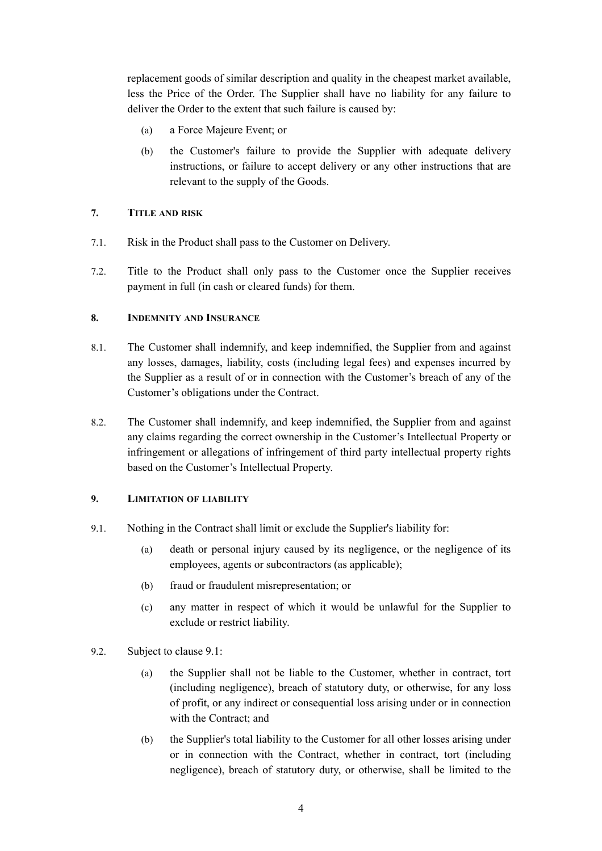replacement goods of similar description and quality in the cheapest market available, less the Price of the Order. The Supplier shall have no liability for any failure to deliver the Order to the extent that such failure is caused by:

- (a) a Force Majeure Event; or
- (b) the Customer's failure to provide the Supplier with adequate delivery instructions, or failure to accept delivery or any other instructions that are relevant to the supply of the Goods.

#### **7. TITLE AND RISK**

- 7.1. Risk in the Product shall pass to the Customer on Delivery.
- 7.2. Title to the Product shall only pass to the Customer once the Supplier receives payment in full (in cash or cleared funds) for them.

#### **8. INDEMNITY AND INSURANCE**

- 8.1. The Customer shall indemnify, and keep indemnified, the Supplier from and against any losses, damages, liability, costs (including legal fees) and expenses incurred by the Supplier as a result of or in connection with the Customer's breach of any of the Customer's obligations under the Contract.
- 8.2. The Customer shall indemnify, and keep indemnified, the Supplier from and against any claims regarding the correct ownership in the Customer's Intellectual Property or infringement or allegations of infringement of third party intellectual property rights based on the Customer's Intellectual Property.

## **9. LIMITATION OF LIABILITY**

- <span id="page-3-0"></span>9.1. Nothing in the Contract shall limit or exclude the Supplier's liability for:
	- (a) death or personal injury caused by its negligence, or the negligence of its employees, agents or subcontractors (as applicable);
	- (b) fraud or fraudulent misrepresentation; or
	- (c) any matter in respect of which it would be unlawful for the Supplier to exclude or restrict liability.
- 9.2. Subject to clause [9.1](#page-3-0):
	- (a) the Supplier shall not be liable to the Customer, whether in contract, tort (including negligence), breach of statutory duty, or otherwise, for any loss of profit, or any indirect or consequential loss arising under or in connection with the Contract; and
	- (b) the Supplier's total liability to the Customer for all other losses arising under or in connection with the Contract, whether in contract, tort (including negligence), breach of statutory duty, or otherwise, shall be limited to the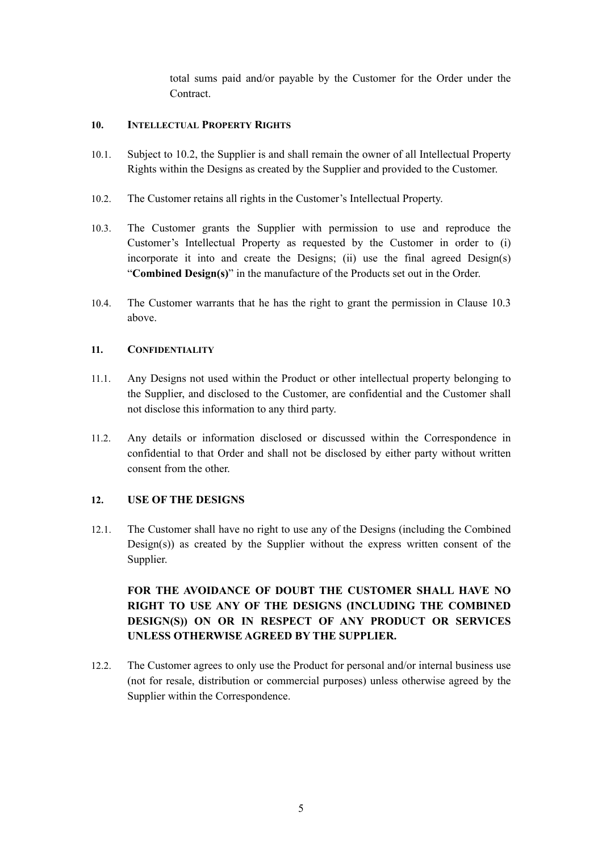total sums paid and/or payable by the Customer for the Order under the Contract.

#### **10. INTELLECTUAL PROPERTY RIGHTS**

- 10.1. Subject to 10.2, the Supplier is and shall remain the owner of all Intellectual Property Rights within the Designs as created by the Supplier and provided to the Customer.
- 10.2. The Customer retains all rights in the Customer's Intellectual Property.
- 10.3. The Customer grants the Supplier with permission to use and reproduce the Customer's Intellectual Property as requested by the Customer in order to (i) incorporate it into and create the Designs; (ii) use the final agreed Design(s) "**Combined Design(s)**" in the manufacture of the Products set out in the Order.
- 10.4. The Customer warrants that he has the right to grant the permission in Clause 10.3 above.

#### **11. CONFIDENTIALITY**

- 11.1. Any Designs not used within the Product or other intellectual property belonging to the Supplier, and disclosed to the Customer, are confidential and the Customer shall not disclose this information to any third party.
- 11.2. Any details or information disclosed or discussed within the Correspondence in confidential to that Order and shall not be disclosed by either party without written consent from the other.

## **12. USE OF THE DESIGNS**

12.1. The Customer shall have no right to use any of the Designs (including the Combined Design(s)) as created by the Supplier without the express written consent of the Supplier.

# **FOR THE AVOIDANCE OF DOUBT THE CUSTOMER SHALL HAVE NO RIGHT TO USE ANY OF THE DESIGNS (INCLUDING THE COMBINED DESIGN(S)) ON OR IN RESPECT OF ANY PRODUCT OR SERVICES UNLESS OTHERWISE AGREED BY THE SUPPLIER.**

12.2. The Customer agrees to only use the Product for personal and/or internal business use (not for resale, distribution or commercial purposes) unless otherwise agreed by the Supplier within the Correspondence.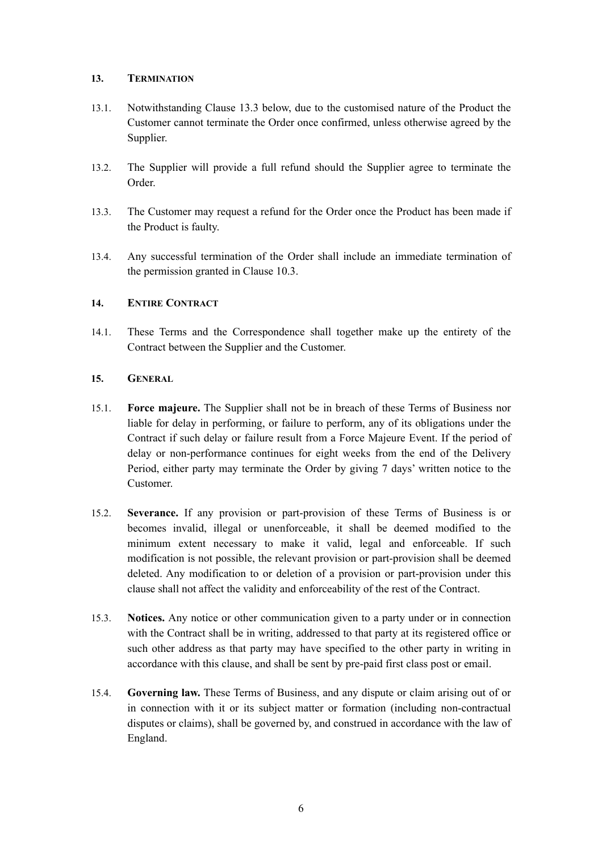#### **13. TERMINATION**

- 13.1. Notwithstanding Clause 13.3 below, due to the customised nature of the Product the Customer cannot terminate the Order once confirmed, unless otherwise agreed by the Supplier.
- 13.2. The Supplier will provide a full refund should the Supplier agree to terminate the Order.
- 13.3. The Customer may request a refund for the Order once the Product has been made if the Product is faulty.
- 13.4. Any successful termination of the Order shall include an immediate termination of the permission granted in Clause 10.3.

#### **14. ENTIRE CONTRACT**

14.1. These Terms and the Correspondence shall together make up the entirety of the Contract between the Supplier and the Customer.

#### **15. GENERAL**

- 15.1. **Force majeure.** The Supplier shall not be in breach of these Terms of Business nor liable for delay in performing, or failure to perform, any of its obligations under the Contract if such delay or failure result from a Force Majeure Event. If the period of delay or non-performance continues for eight weeks from the end of the Delivery Period, either party may terminate the Order by giving 7 days' written notice to the Customer.
- 15.2. **Severance.** If any provision or part-provision of these Terms of Business is or becomes invalid, illegal or unenforceable, it shall be deemed modified to the minimum extent necessary to make it valid, legal and enforceable. If such modification is not possible, the relevant provision or part-provision shall be deemed deleted. Any modification to or deletion of a provision or part-provision under this clause shall not affect the validity and enforceability of the rest of the Contract.
- 15.3. **Notices.** Any notice or other communication given to a party under or in connection with the Contract shall be in writing, addressed to that party at its registered office or such other address as that party may have specified to the other party in writing in accordance with this clause, and shall be sent by pre-paid first class post or email.
- 15.4. **Governing law.** These Terms of Business, and any dispute or claim arising out of or in connection with it or its subject matter or formation (including non-contractual disputes or claims), shall be governed by, and construed in accordance with the law of England.